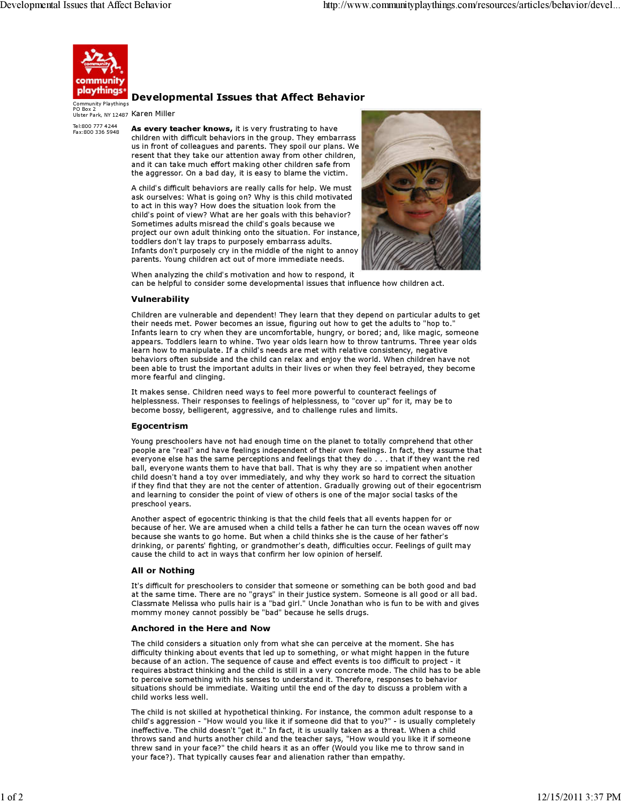

Te l:800 777 4244 Fax:800 336 5948

# Developmental Issues that Affect Behavior

Ulster Park, NY 12487 Karen Miller Community P laythings PO Box 2

> As every teacher knows, it is very frustrating to have children with difficult behaviors in the group. They embarrass us in front of colleagues and parents. They spoil our plans. We resent that they take our attention away from other children, and it can take much effort making other children safe from the aggressor. On a bad day, it is easy to blame the victim.

> A child's difficult behaviors are really calls for help. We must ask ourselves: What is going on? Why is this child motivated to act in this way? How does the situation look from the child's point of view? What are her goals with this behavior? Sometimes adults misread the child's goals because we project our own adult thinking onto the situation. For instance, toddlers don't lay traps to purposely embarrass adults. Infants don't purposely cry in the middle of the night to annoy parents. Young children act out of more immediate needs.



When analyzing the child's motivation and how to respond, it can be helpful to consider some developmental issues that influence how children act.

#### Vulnerability

Children are vulnerable and dependent! They learn that they depend on particular adults to get their needs met. Power becomes an issue, figuring out how to get the adults to "hop to." Infants learn to cry when they are uncomfortable, hungry, or bored; and, like magic, someone appears. Toddlers learn to whine. Two year olds learn how to throw tantrums. Three year olds learn how to manipulate. If a child's needs are met with relative consistency, negative behaviors often subside and the child can relax and enjoy the world. When children have not been able to trust the important adults in their lives or when they feel betrayed, they become more fearful and clinging.

It makes sense. Children need ways to feel more powerful to counteract feelings of helplessness. Their responses to feelings of helplessness, to "cover up" for it, may be to become bossy, belligerent, aggressive, and to challenge rules and limits.

#### Egocentrism

Young preschoolers have not had enough time on the planet to totally comprehend that other people are "real" and have feelings independent of their own feelings. In fact, they assume that everyone else has the same perceptions and feelings that they do . . . that if they want the red ball, everyone wants them to have that ball. That is why they are so impatient when another child doesn't hand a toy over immediately, and why they work so hard to correct the situation if they find that they are not the center of attention. Gradually growing out of their egocentrism and learning to consider the point of view of others is one of the major social tasks of the preschool years.

Another aspect of egocentric thinking is that the child feels that all events happen for or because of her. We are amused when a child tells a father he can turn the ocean waves off now because she wants to go home. But when a child thinks she is the cause of her father's drinking, or parents' fighting, or grandmother's death, difficulties occur. Feelings of guilt may cause the child to act in ways that confirm her low opinion of herself.

#### All or Nothing

It's difficult for preschoolers to consider that someone or something can be both good and bad at the same time. There are no "grays" in their justice system. Someone is all good or all bad. Classmate Melissa who pulls hair is a "bad girl." Uncle Jonathan who is fun to be with and gives mommy money cannot possibly be "bad" because he sells drugs.

#### Anchored in the Here and Now

The child considers a situation only from what she can perceive at the moment. She has difficulty thinking about events that led up to something, or what might happen in the future because of an action. The sequence of cause and effect events is too difficult to project - it requires abstract thinking and the child is still in a very concrete mode. The child has to be able to perceive something with his senses to understand it. Therefore, responses to behavior situations should be immediate. Waiting until the end of the day to discuss a problem with a child works less well.

The child is not skilled at hypothetical thinking. For instance, the common adult response to a child's aggression - "How would you like it if someone did that to you?" - is usually completely ineffective. The child doesn't "get it." In fact, it is usually taken as a threat. When a child throws sand and hurts another child and the teacher says, "How would you like it if someone threw sand in your face?" the child hears it as an offer (Would you like me to throw sand in your face?). That typically causes fear and alienation rather than empathy.